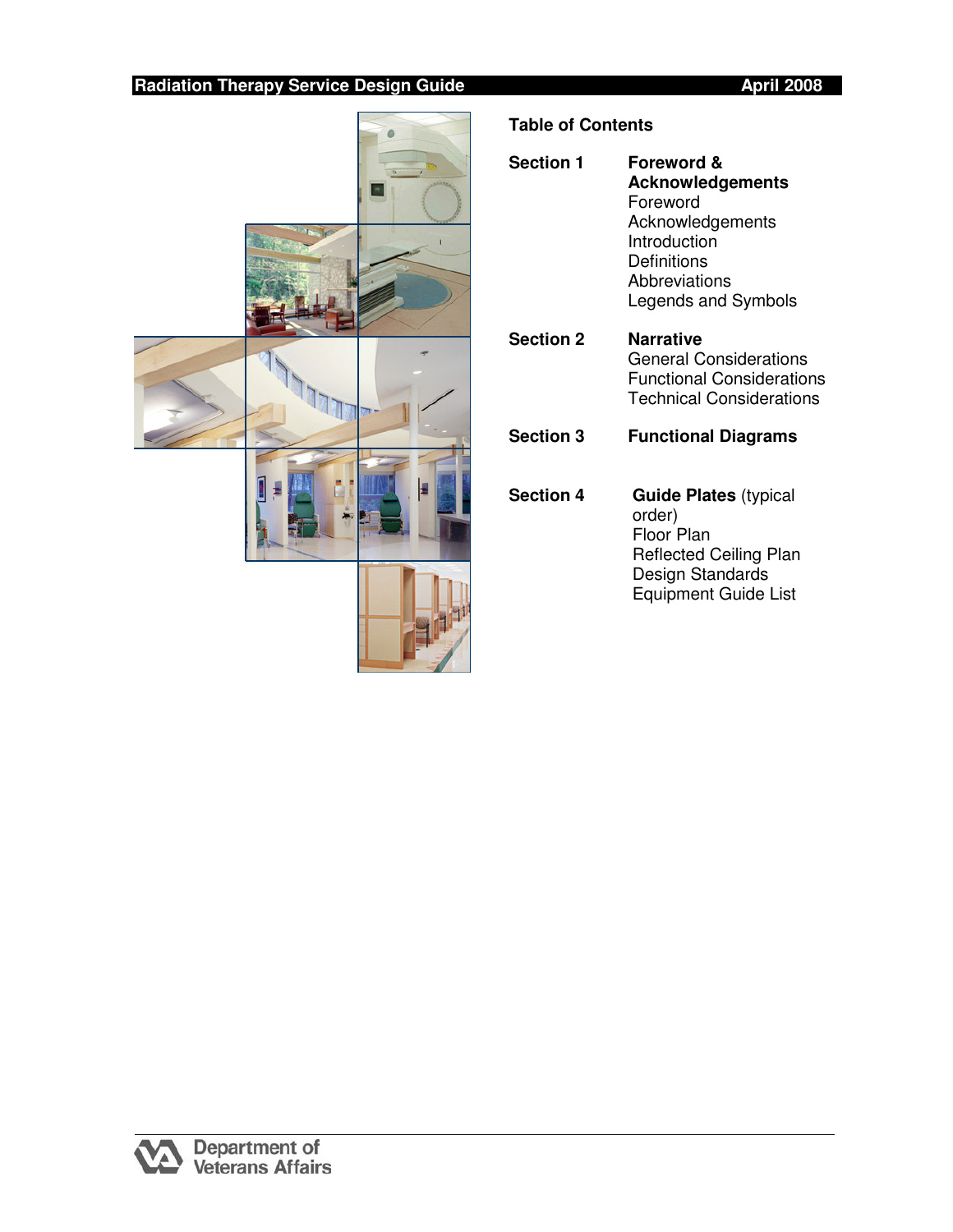

# **Table of Contents**

| <b>Section 1</b> | <b>Foreword &amp;</b><br><b>Acknowledgements</b><br>Foreword<br>Acknowledgements<br>Introduction<br>Definitions<br>Abbreviations<br>Legends and Symbols |
|------------------|---------------------------------------------------------------------------------------------------------------------------------------------------------|
| <b>Section 2</b> | <b>Narrative</b><br><b>General Considerations</b><br>Functional Considerations<br><b>Technical Considerations</b>                                       |
| <b>Section 3</b> | <b>Functional Diagrams</b>                                                                                                                              |
| <b>Section 4</b> | <b>Guide Plates</b> (typical<br>order)<br>Floor Plan<br><b>Reflected Ceiling Plan</b><br>Design Standards<br><b>Equipment Guide List</b>                |

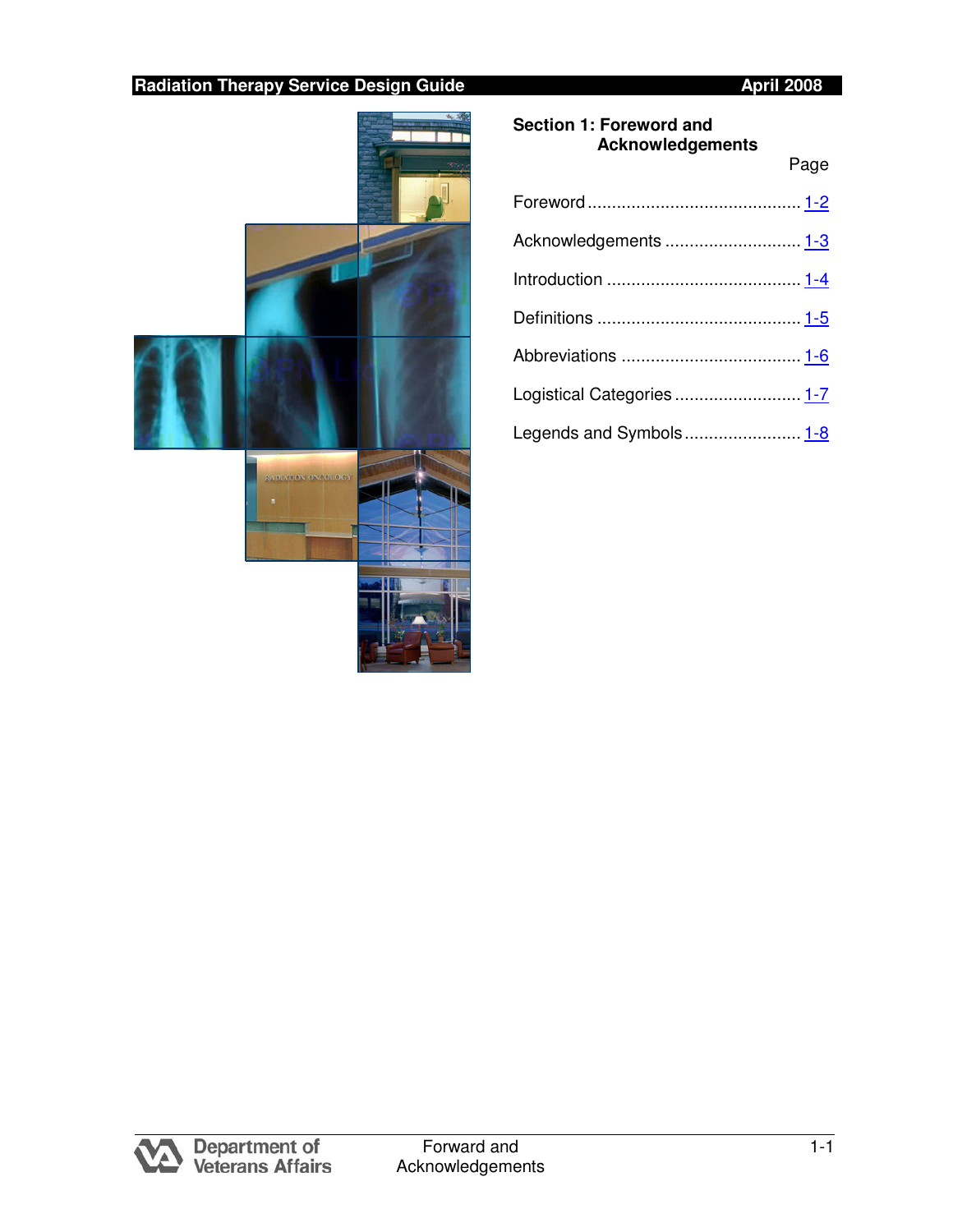Page



### **Section 1: Foreword and Acknowledgements**

| Acknowledgements  1-3   |  |
|-------------------------|--|
|                         |  |
|                         |  |
|                         |  |
|                         |  |
| Legends and Symbols 1-8 |  |

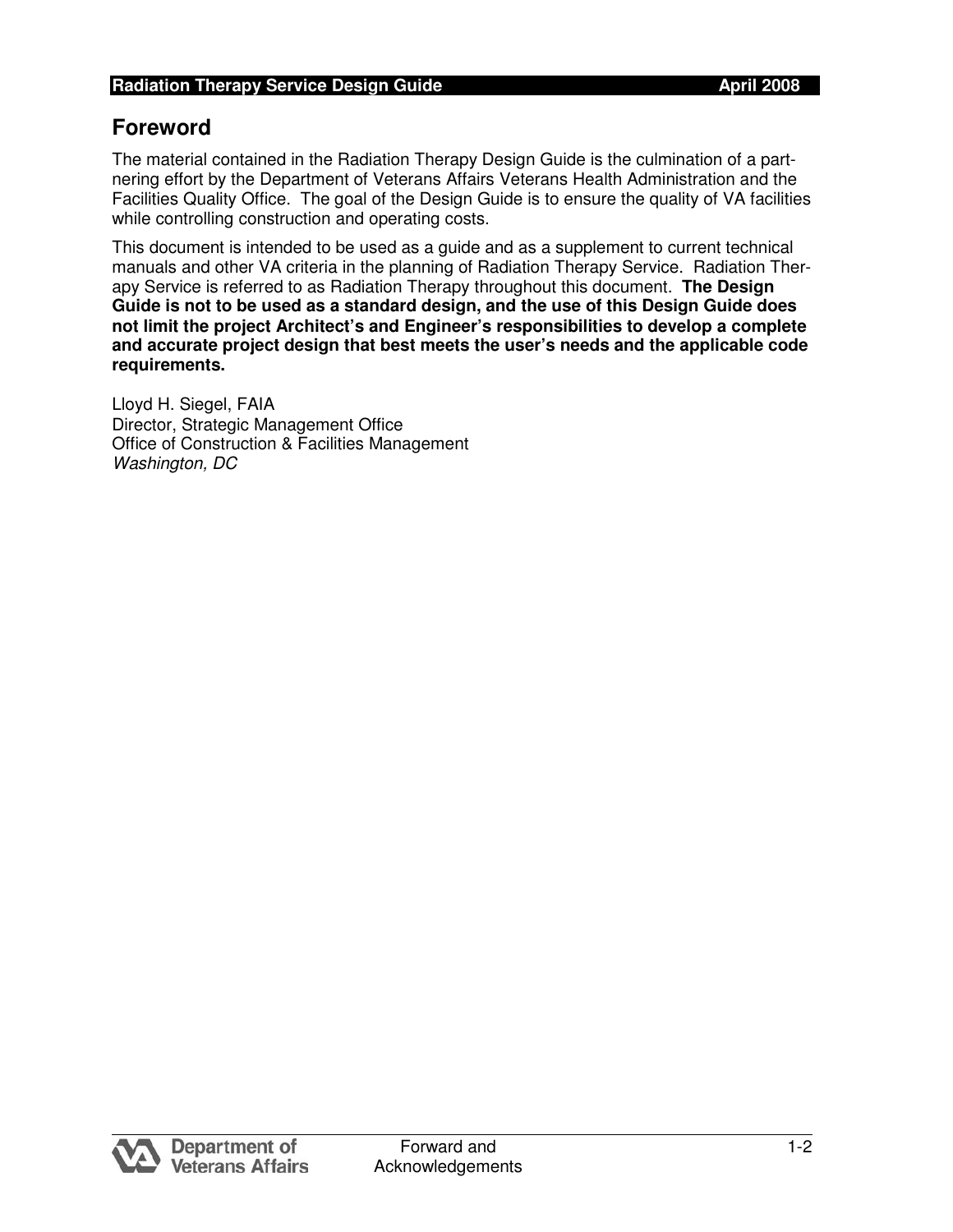# **Foreword**

 The material contained in the Radiation Therapy Design Guide is the culmination of a part- nering effort by the Department of Veterans Affairs Veterans Health Administration and the Facilities Quality Office. The goal of the Design Guide is to ensure the quality of VA facilities while controlling construction and operating costs.

 This document is intended to be used as a guide and as a supplement to current technical manuals and other VA criteria in the planning of Radiation Therapy Service. Radiation Ther- apy Service is referred to as Radiation Therapy throughout this document. **The Design Guide is not to be used as a standard design, and the use of this Design Guide does not limit the project Architect's and Engineer's responsibilities to develop a complete and accurate project design that best meets the user's needs and the applicable code requirements.** 

 Lloyd H. Siegel, FAIA Director, Strategic Management Office Office of Construction & Facilities Management Washington, DC

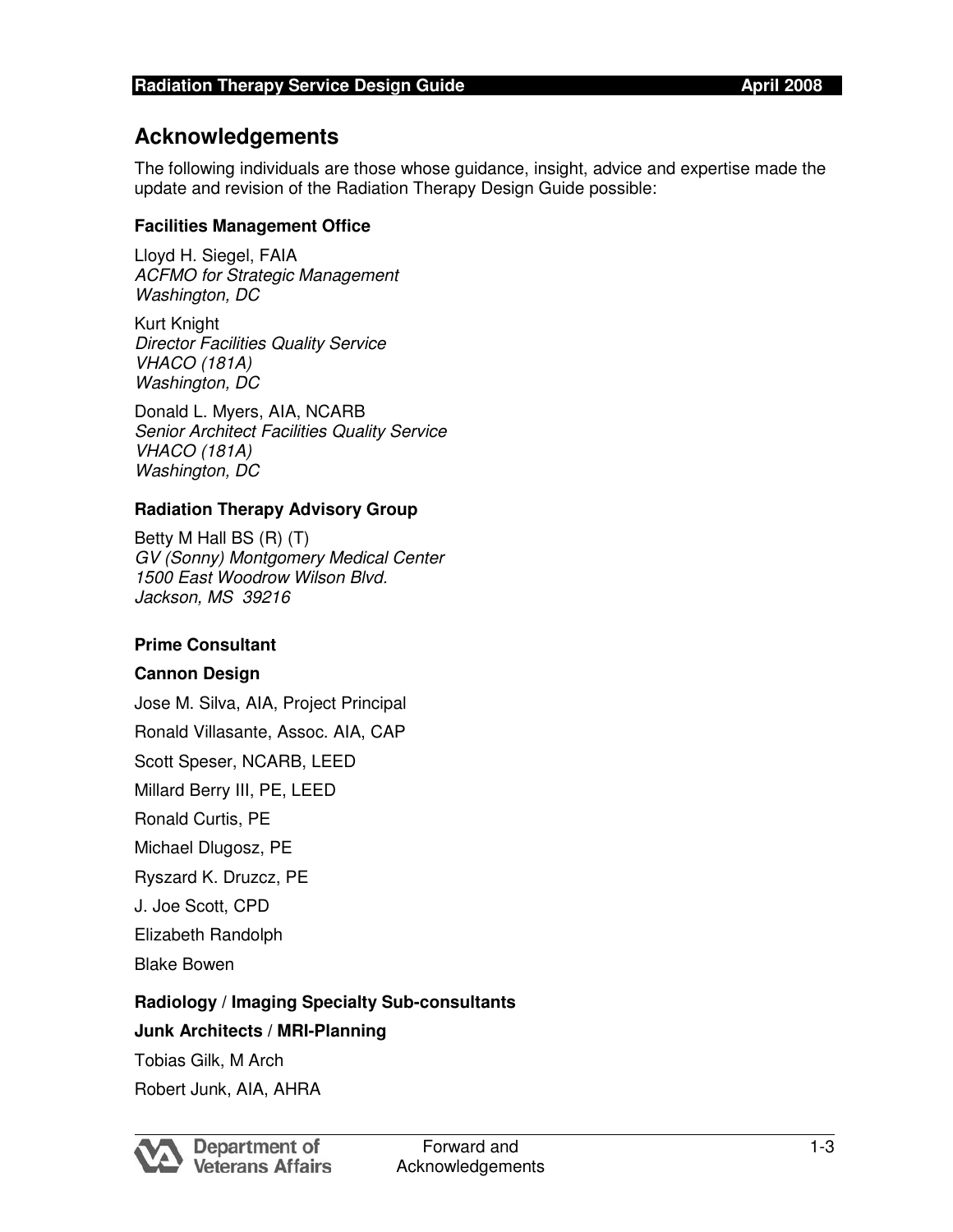## **Acknowledgements**

 The following individuals are those whose guidance, insight, advice and expertise made the update and revision of the Radiation Therapy Design Guide possible:

#### **Facilities Management Office**

 Lloyd H. Siegel, FAIA ACFMO for Strategic Management Washington, DC

 Kurt Knight Director Facilities Quality Service VHACO (181A) Washington, DC

 Donald L. Myers, AIA, NCARB Senior Architect Facilities Quality Service VHACO (181A) Washington, DC

### **Radiation Therapy Advisory Group**

 Betty M Hall BS (R) (T) GV (Sonny) Montgomery Medical Center 1500 East Woodrow Wilson Blvd. Jackson, MS 39216

#### **Prime Consultant**

#### **Cannon Design**

 Jose M. Silva, AIA, Project Principal Ronald Villasante, Assoc. AIA, CAP Scott Speser, NCARB, LEED Millard Berry III, PE, LEED Ronald Curtis, PE Michael Dlugosz, PE Ryszard K. Druzcz, PE J. Joe Scott, CPD Elizabeth Randolph

Blake Bowen

### **Radiology / Imaging Specialty Sub-consultants**

### **Junk Architects / MRI-Planning**

Tobias Gilk, M Arch

Robert Junk, AIA, AHRA

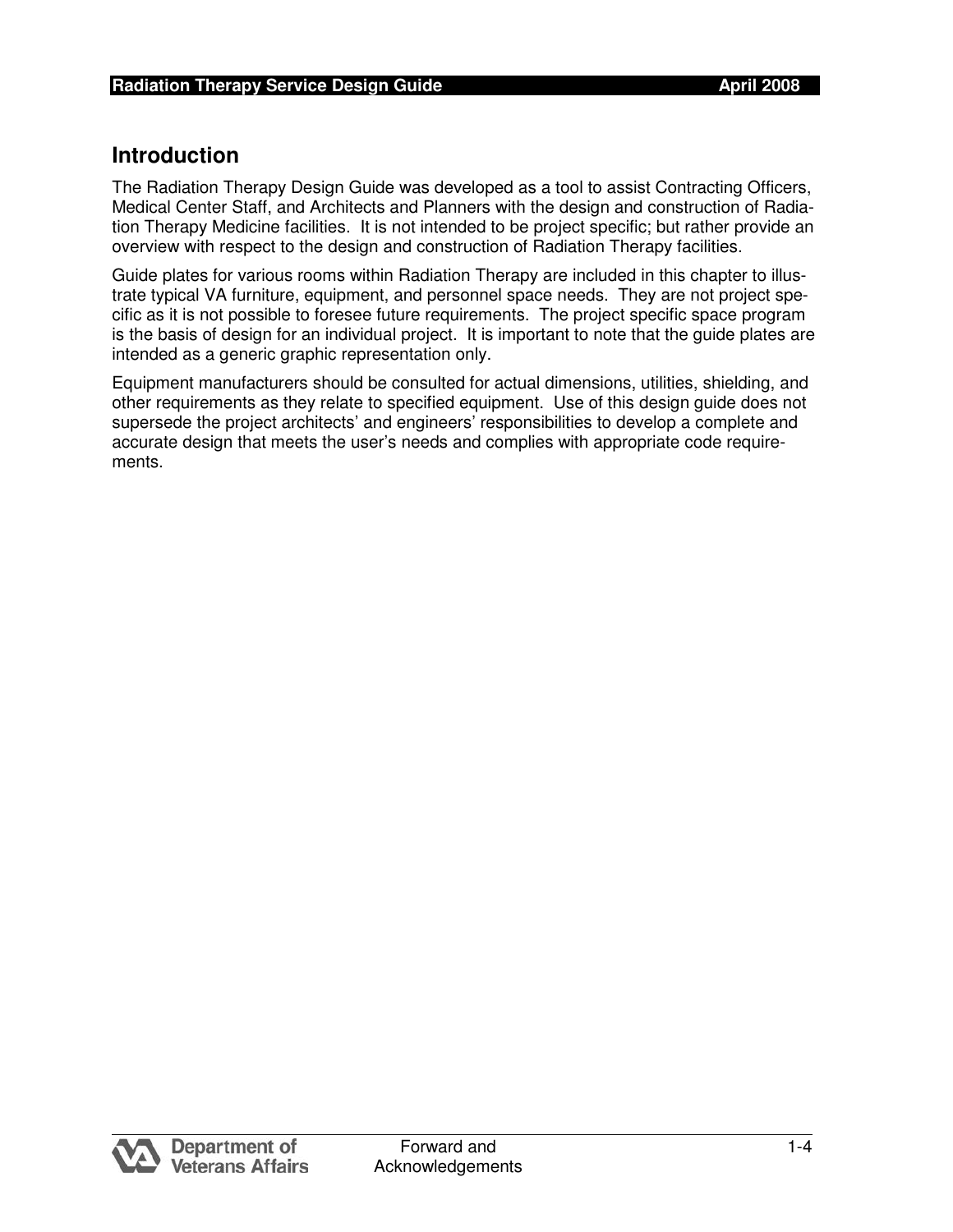## **Introduction**

 The Radiation Therapy Design Guide was developed as a tool to assist Contracting Officers, Medical Center Staff, and Architects and Planners with the design and construction of Radia- tion Therapy Medicine facilities. It is not intended to be project specific; but rather provide an overview with respect to the design and construction of Radiation Therapy facilities.

 Guide plates for various rooms within Radiation Therapy are included in this chapter to illus- trate typical VA furniture, equipment, and personnel space needs. They are not project spe- cific as it is not possible to foresee future requirements. The project specific space program is the basis of design for an individual project. It is important to note that the guide plates are intended as a generic graphic representation only.

 Equipment manufacturers should be consulted for actual dimensions, utilities, shielding, and other requirements as they relate to specified equipment. Use of this design guide does not supersede the project architects' and engineers' responsibilities to develop a complete and accurate design that meets the user's needs and complies with appropriate code requirements.

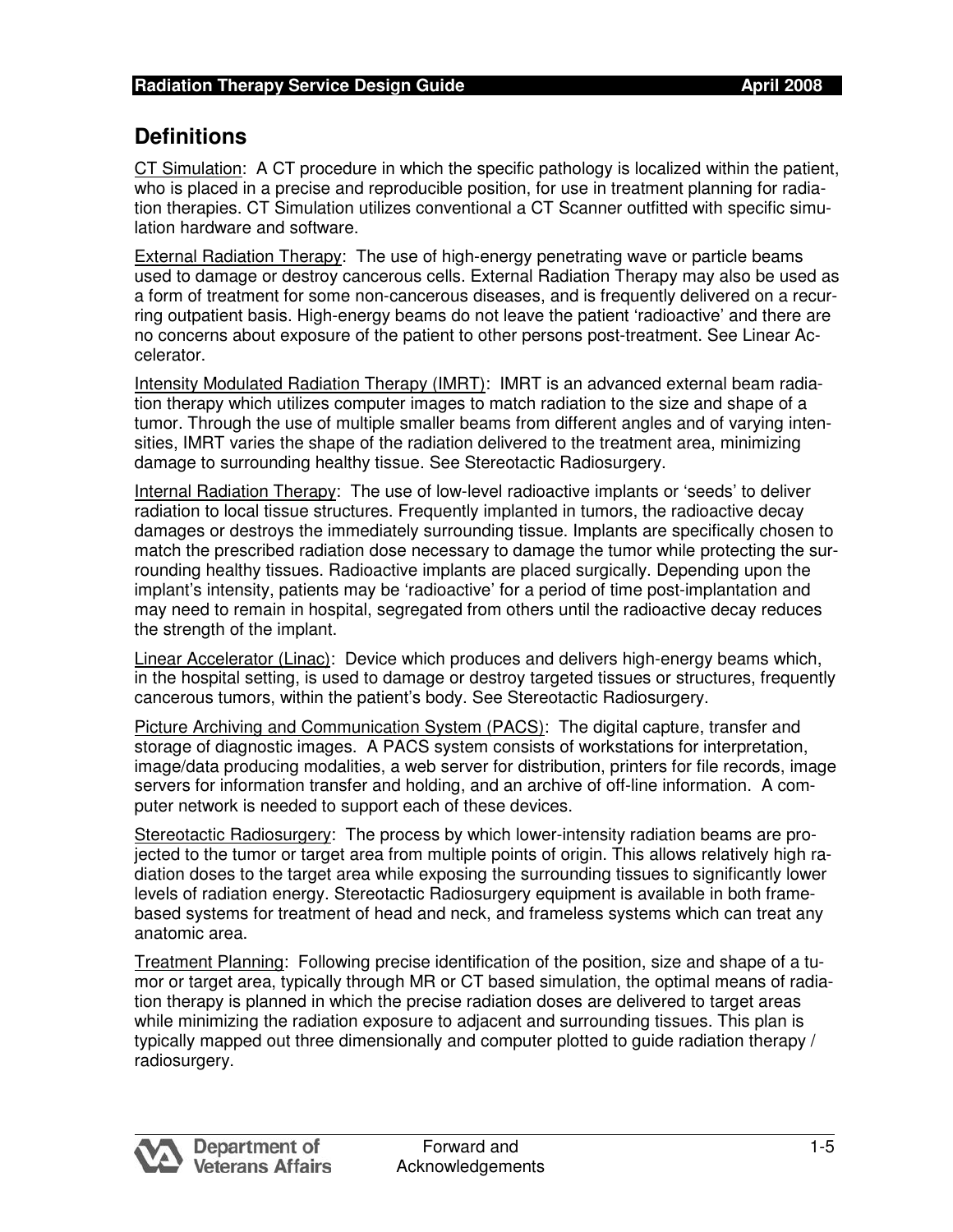# **Definitions**

CT Simulation: A CT procedure in which the specific pathology is localized within the patient, who is placed in a precise and reproducible position, for use in treatment planning for radia- tion therapies. CT Simulation utilizes conventional a CT Scanner outfitted with specific simu-lation hardware and software.

External Radiation Therapy: The use of high-energy penetrating wave or particle beams used to damage or destroy cancerous cells. External Radiation Therapy may also be used as a form of treatment for some non-cancerous diseases, and is frequently delivered on a recur- ring outpatient basis. High-energy beams do not leave the patient 'radioactive' and there are no concerns about exposure of the patient to other persons post-treatment. See Linear Accelerator.

 Intensity Modulated Radiation Therapy (IMRT): IMRT is an advanced external beam radia- tion therapy which utilizes computer images to match radiation to the size and shape of a tumor. Through the use of multiple smaller beams from different angles and of varying inten- sities, IMRT varies the shape of the radiation delivered to the treatment area, minimizing damage to surrounding healthy tissue. See Stereotactic Radiosurgery.

 Internal Radiation Therapy: The use of low-level radioactive implants or 'seeds' to deliver radiation to local tissue structures. Frequently implanted in tumors, the radioactive decay damages or destroys the immediately surrounding tissue. Implants are specifically chosen to match the prescribed radiation dose necessary to damage the tumor while protecting the sur- rounding healthy tissues. Radioactive implants are placed surgically. Depending upon the implant's intensity, patients may be 'radioactive' for a period of time post-implantation and may need to remain in hospital, segregated from others until the radioactive decay reduces the strength of the implant.

 Linear Accelerator (Linac): Device which produces and delivers high-energy beams which, in the hospital setting, is used to damage or destroy targeted tissues or structures, frequently cancerous tumors, within the patient's body. See Stereotactic Radiosurgery.

Picture Archiving and Communication System (PACS): The digital capture, transfer and storage of diagnostic images. A PACS system consists of workstations for interpretation, image/data producing modalities, a web server for distribution, printers for file records, image servers for information transfer and holding, and an archive of off-line information. A com-puter network is needed to support each of these devices.

Stereotactic Radiosurgery: The process by which lower-intensity radiation beams are pro- jected to the tumor or target area from multiple points of origin. This allows relatively high ra- diation doses to the target area while exposing the surrounding tissues to significantly lower levels of radiation energy. Stereotactic Radiosurgery equipment is available in both frame- based systems for treatment of head and neck, and frameless systems which can treat any anatomic area.

Treatment Planning: Following precise identification of the position, size and shape of a tu- mor or target area, typically through MR or CT based simulation, the optimal means of radia- tion therapy is planned in which the precise radiation doses are delivered to target areas while minimizing the radiation exposure to adjacent and surrounding tissues. This plan is typically mapped out three dimensionally and computer plotted to guide radiation therapy / radiosurgery.

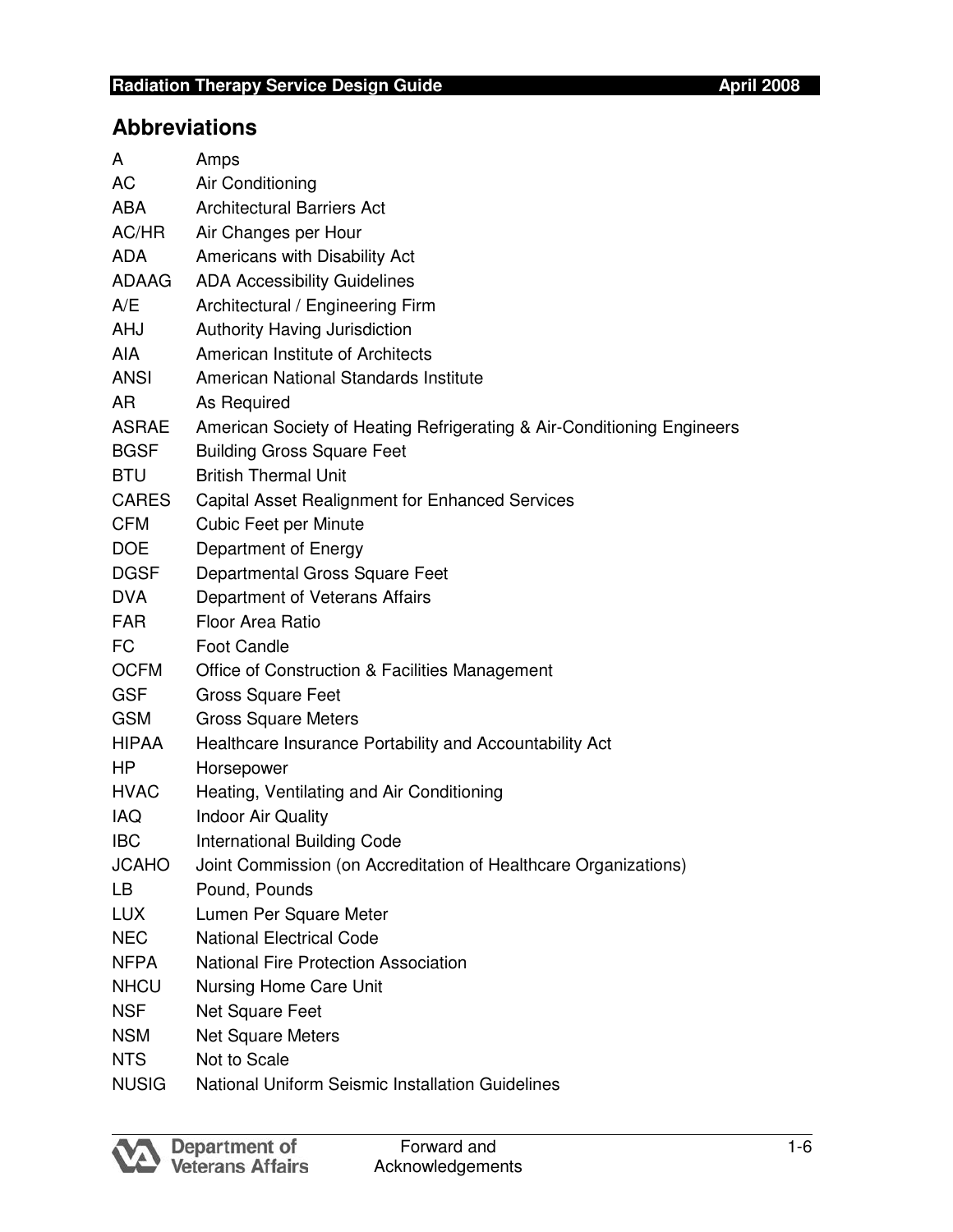# **Abbreviations**

| A            | Amps                                                                   |
|--------------|------------------------------------------------------------------------|
| AC           | Air Conditioning                                                       |
| <b>ABA</b>   | <b>Architectural Barriers Act</b>                                      |
| AC/HR        | Air Changes per Hour                                                   |
| <b>ADA</b>   | Americans with Disability Act                                          |
| ADAAG        | <b>ADA Accessibility Guidelines</b>                                    |
| A/E          | Architectural / Engineering Firm                                       |
| <b>AHJ</b>   | Authority Having Jurisdiction                                          |
| AIA          | American Institute of Architects                                       |
| <b>ANSI</b>  | American National Standards Institute                                  |
| AR           | As Required                                                            |
| ASRAE        | American Society of Heating Refrigerating & Air-Conditioning Engineers |
| <b>BGSF</b>  | <b>Building Gross Square Feet</b>                                      |
| <b>BTU</b>   | <b>British Thermal Unit</b>                                            |
| CARES        | Capital Asset Realignment for Enhanced Services                        |
| <b>CFM</b>   | <b>Cubic Feet per Minute</b>                                           |
| <b>DOE</b>   | Department of Energy                                                   |
| DGSF         | Departmental Gross Square Feet                                         |
| <b>DVA</b>   | Department of Veterans Affairs                                         |
| <b>FAR</b>   | <b>Floor Area Ratio</b>                                                |
| FC           | <b>Foot Candle</b>                                                     |
| <b>OCFM</b>  | Office of Construction & Facilities Management                         |
| <b>GSF</b>   | <b>Gross Square Feet</b>                                               |
| <b>GSM</b>   | <b>Gross Square Meters</b>                                             |
| <b>HIPAA</b> | Healthcare Insurance Portability and Accountability Act                |
| HP.          | Horsepower                                                             |
| <b>HVAC</b>  | Heating, Ventilating and Air Conditioning                              |
| <b>IAQ</b>   | <b>Indoor Air Quality</b>                                              |
| <b>IBC</b>   | <b>International Building Code</b>                                     |
| <b>JCAHO</b> | Joint Commission (on Accreditation of Healthcare Organizations)        |
| LB           | Pound, Pounds                                                          |
| <b>LUX</b>   | Lumen Per Square Meter                                                 |
| <b>NEC</b>   | <b>National Electrical Code</b>                                        |
| NFPA         | <b>National Fire Protection Association</b>                            |
| <b>NHCU</b>  | <b>Nursing Home Care Unit</b>                                          |
| <b>NSF</b>   | Net Square Feet                                                        |
| <b>NSM</b>   | <b>Net Square Meters</b>                                               |
| <b>NTS</b>   | Not to Scale                                                           |
| <b>NUSIG</b> | National Uniform Seismic Installation Guidelines                       |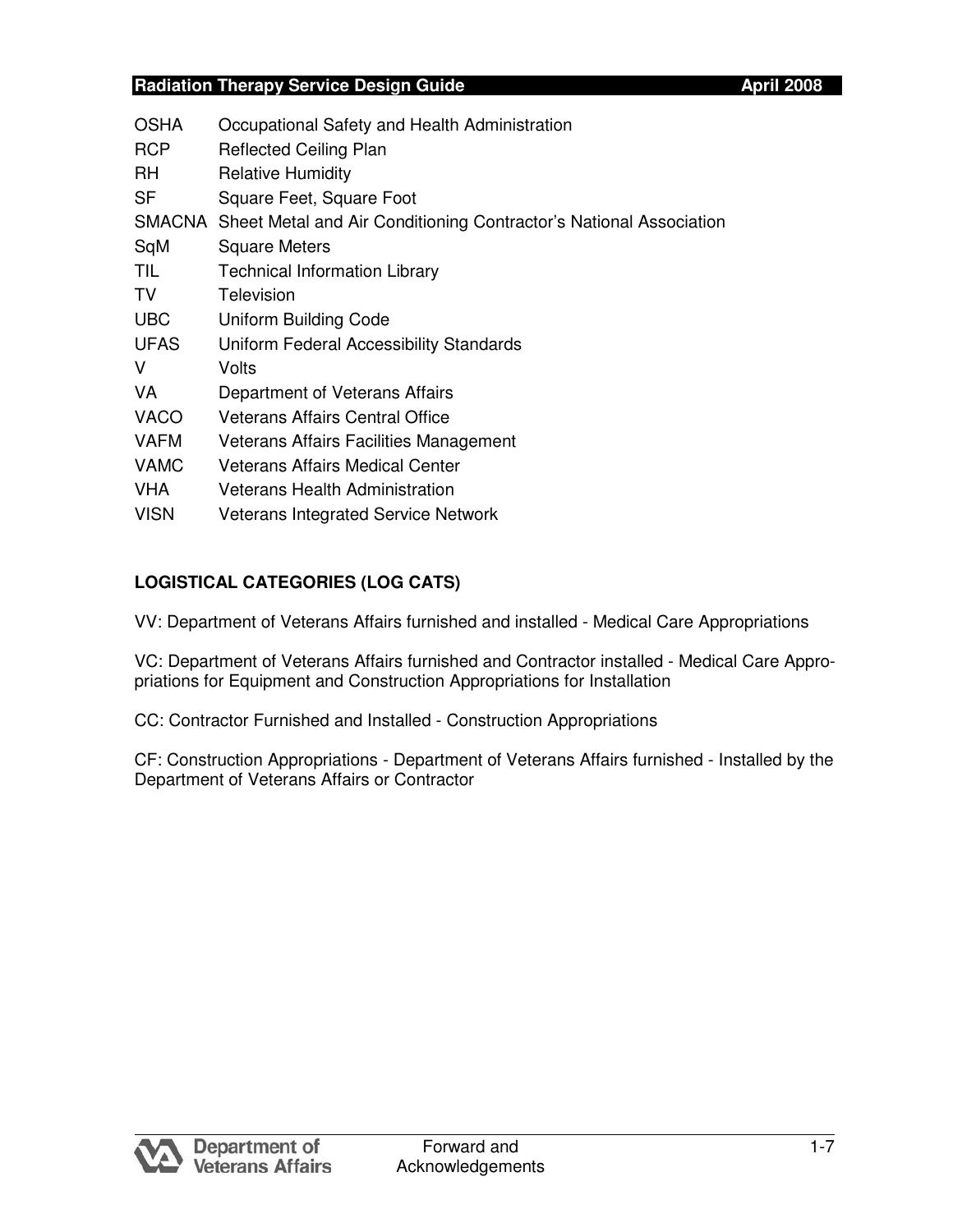| <b>OSHA</b> | Occupational Safety and Health Administration                             |
|-------------|---------------------------------------------------------------------------|
| <b>RCP</b>  | <b>Reflected Ceiling Plan</b>                                             |
| RH          | <b>Relative Humidity</b>                                                  |
| SF          | Square Feet, Square Foot                                                  |
|             | SMACNA Sheet Metal and Air Conditioning Contractor's National Association |
| SqM         | <b>Square Meters</b>                                                      |
| TIL         | <b>Technical Information Library</b>                                      |
| TV.         | Television                                                                |
| <b>UBC</b>  | <b>Uniform Building Code</b>                                              |
| <b>UFAS</b> | Uniform Federal Accessibility Standards                                   |
| V           | Volts                                                                     |
| VA          | Department of Veterans Affairs                                            |
| <b>VACO</b> | <b>Veterans Affairs Central Office</b>                                    |
| <b>VAFM</b> | Veterans Affairs Facilities Management                                    |
| <b>VAMC</b> | Veterans Affairs Medical Center                                           |
| <b>VHA</b>  | Veterans Health Administration                                            |
| <b>VISN</b> | <b>Veterans Integrated Service Network</b>                                |

# **LOGISTICAL CATEGORIES (LOG CATS)**

VV: Department of Veterans Affairs furnished and installed - Medical Care Appropriations

 VC: Department of Veterans Affairs furnished and Contractor installed - Medical Care Appro-priations for Equipment and Construction Appropriations for Installation

CC: Contractor Furnished and Installed - Construction Appropriations

 CF: Construction Appropriations - Department of Veterans Affairs furnished - Installed by the Department of Veterans Affairs or Contractor

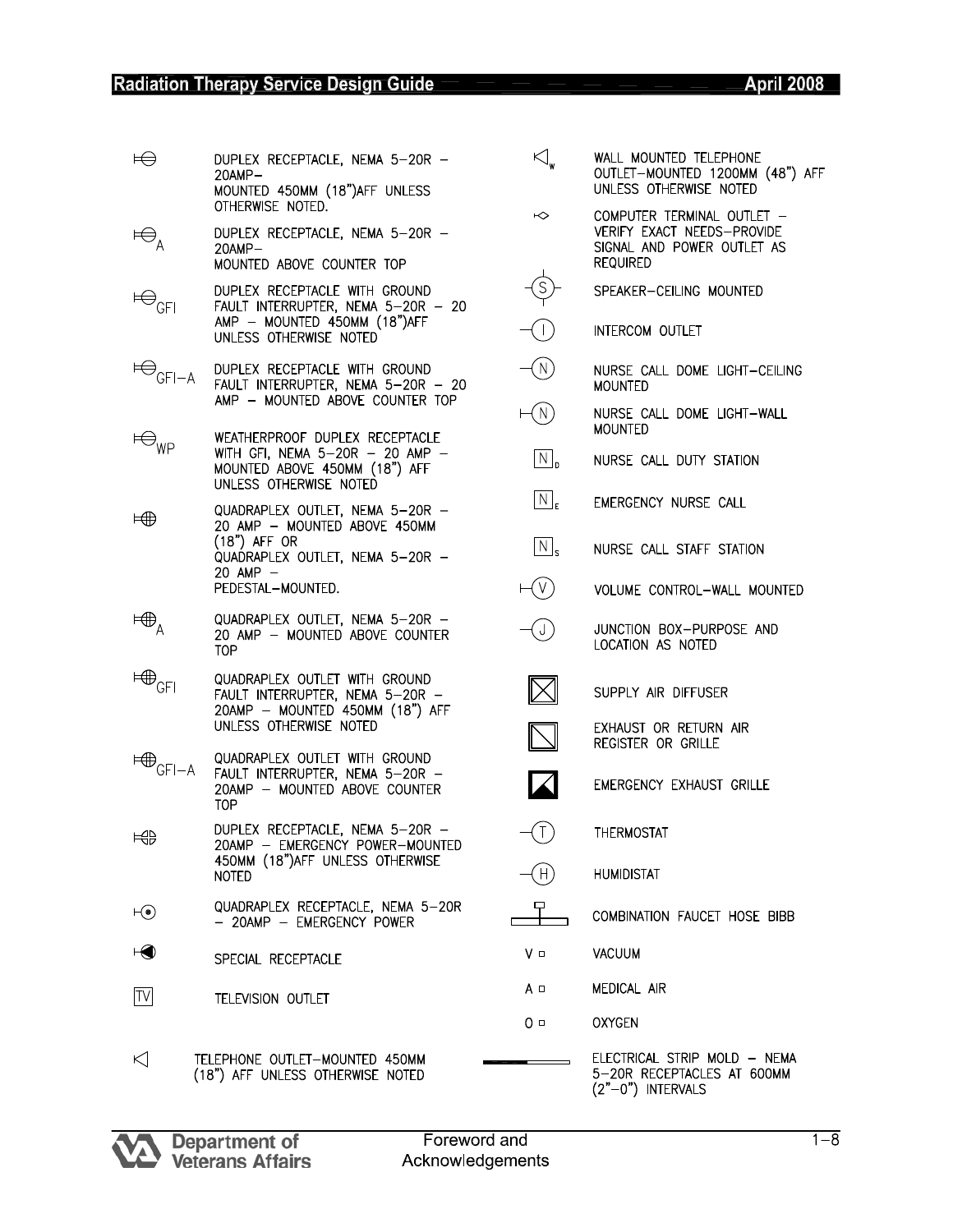# **Radiation Therapy Service Design Guide**

| $\bigoplus$                           | DUPLEX RECEPTACLE, NEMA 5-20R -<br>$20$ AMP $-$                                                                               |  |
|---------------------------------------|-------------------------------------------------------------------------------------------------------------------------------|--|
|                                       | MOUNTED 450MM (18") AFF UNLESS<br>OTHERWISE NOTED.                                                                            |  |
| $\ominus_{\rm A}$                     | DUPLEX RECEPTACLE, NEMA 5-20R -<br>$20$ AMP $-$                                                                               |  |
|                                       | MOUNTED ABOVE COUNTER TOP                                                                                                     |  |
| $\oplus_{\mathsf{GFI}}$               | DUPLEX RECEPTACLE WITH GROUND<br>FAULT INTERRUPTER, NEMA 5-20R - 20<br>AMP - MOUNTED 450MM (18")AFF<br>UNLESS OTHERWISE NOTED |  |
| $\bigoplus_{\mathsf{GFI}-\mathsf{A}}$ | DUPLEX RECEPTACLE WITH GROUND<br>FAULT INTERRUPTER, NEMA 5-20R - 20<br>AMP - MOUNTED ABOVE COUNTER TOP                        |  |
| $\ominus_{_{\textsf{WP}}}$            | WEATHERPROOF DUPLEX RECEPTACLE<br>WITH GFI, NEMA 5-20R - 20 AMP -<br>MOUNTED ABOVE 450MM (18") AFF<br>UNLESS OTHERWISE NOTED  |  |
| ⊨∰                                    | QUADRAPLEX OUTLET, NEMA 5-20R -<br>20 AMP - MOUNTED ABOVE 450MM                                                               |  |
|                                       | (18") AFF OR<br>QUADRAPLEX OUTLET, NEMA 5-20R -                                                                               |  |
|                                       | 20 AMP —<br>PEDESTAL-MOUNTED.                                                                                                 |  |
| $\boxplus_\mathsf{A}$                 | QUADRAPLEX OUTLET, NEMA 5-20R -<br>20 AMP - MOUNTED ABOVE COUNTER<br><b>TOP</b>                                               |  |
| $\boxplus_{\mathsf{GFI}}$             | QUADRAPLEX OUTLET WITH GROUND<br>FAULT INTERRUPTER, NEMA 5-20R<br>20AMP - MOUNTED 450MM (18") AFF<br>UNLESS OTHERWISE NOTED   |  |
|                                       | QUADRAPLEX OUTLET WITH GROUND                                                                                                 |  |
| $\boxplus_{\mathsf{GFI-A}}$           | FAULT INTERRUPTER, NEMA 5-20R -<br>20AMP - MOUNTED ABOVE COUNTER<br>TOP.                                                      |  |
| 玉                                     | DUPLEX RECEPTACLE, NEMA 5-20R<br>20AMP - EMERGENCY POWER-MOUNTED                                                              |  |
|                                       | 450MM (18") AFF UNLESS OTHERWISE<br><b>NOTED</b>                                                                              |  |
| $\mathsf{H}(\bullet)$                 | QUADRAPLEX RECEPTACLE, NEMA 5-20R<br>- 20AMP - EMERGENCY POWER                                                                |  |
| $\Theta$                              | SPECIAL RECEPTACLE                                                                                                            |  |
| $ \mathsf{TV} $                       | TELEVISION OUTLET                                                                                                             |  |
| ΚI                                    | TELEPHONE OUTLET-MOUNTED 450MM                                                                                                |  |

| $\overline{\bigcup}_{\mathsf{w}}$ | WALL MOUNTED TELEPHONE<br>OUTLET-MOUNTED 1200MM (48") AFF<br>UNLESS OTHERWISE NOTED                       |
|-----------------------------------|-----------------------------------------------------------------------------------------------------------|
| ↜                                 | COMPUTER TERMINAL OUTLET -<br>VERIFY EXACT NEEDS-PROVIDE<br>SIGNAL AND POWER OUTLET AS<br><b>REQUIRED</b> |
|                                   | SPEAKER-CEILING MOUNTED                                                                                   |
|                                   | INTERCOM OUTLET                                                                                           |
| N                                 | NURSE CALL DOME LIGHT-CEILING<br><b>MOUNTED</b>                                                           |
| N                                 | NURSE CALL DOME LIGHT-WALL<br>MOUNTED                                                                     |
| $ N _p$                           | NURSE CALL DUTY STATION                                                                                   |
| $\lceil N \rceil_{\mathsf{F}}$    | EMERGENCY NURSE CALL                                                                                      |
| $\overline{\vert N \vert}_s$      | NURSE CALL STAFF STATION                                                                                  |
|                                   | VOLUME CONTROL-WALL MOUNTED                                                                               |
|                                   | JUNCTION BOX-PURPOSE AND<br>LOCATION AS NOTED                                                             |
|                                   | SUPPLY AIR DIFFUSER                                                                                       |
|                                   | EXHAUST OR RETURN AIR<br>REGISTER OR GRILLE                                                               |
|                                   | EMERGENCY EXHAUST GRILLE                                                                                  |
| (1)                               | THERMOSTAT                                                                                                |
|                                   | <b>HUMIDISTAT</b>                                                                                         |
|                                   | COMBINATION FAUCET HOSE BIBB                                                                              |
| V ⊡                               | VACUUM                                                                                                    |
| A □                               | <b>MEDICAL AIR</b>                                                                                        |
| 0 □                               | <b>OXYGEN</b>                                                                                             |

ELECTRICAL STRIP MOLD — NEMA<br>5—20R RECEPTACLES AT 600MM<br>(2"—0") INTERVALS TELEPHONE OUTLET-MOUNTED 450MM (18") AFF UNLESS OTHERWISE NOTED